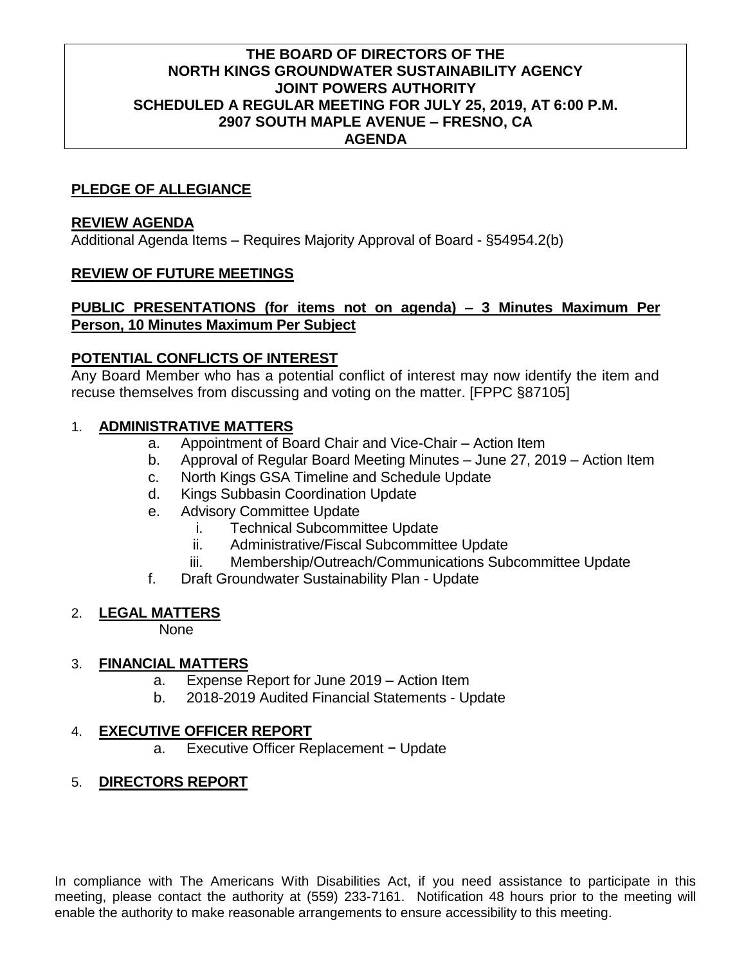# **THE BOARD OF DIRECTORS OF THE NORTH KINGS GROUNDWATER SUSTAINABILITY AGENCY JOINT POWERS AUTHORITY SCHEDULED A REGULAR MEETING FOR JULY 25, 2019, AT 6:00 P.M. 2907 SOUTH MAPLE AVENUE – FRESNO, CA AGENDA**

# **PLEDGE OF ALLEGIANCE**

#### **REVIEW AGENDA**

Additional Agenda Items – Requires Majority Approval of Board - §54954.2(b)

## **REVIEW OF FUTURE MEETINGS**

#### **PUBLIC PRESENTATIONS (for items not on agenda) – 3 Minutes Maximum Per Person, 10 Minutes Maximum Per Subject**

## **POTENTIAL CONFLICTS OF INTEREST**

Any Board Member who has a potential conflict of interest may now identify the item and recuse themselves from discussing and voting on the matter. [FPPC §87105]

## 1. **ADMINISTRATIVE MATTERS**

- a. Appointment of Board Chair and Vice-Chair Action Item
- b. Approval of Regular Board Meeting Minutes June 27, 2019 Action Item
- c. North Kings GSA Timeline and Schedule Update
- d. Kings Subbasin Coordination Update
- e. Advisory Committee Update
	- i. Technical Subcommittee Update
	- ii. Administrative/Fiscal Subcommittee Update
	- iii. Membership/Outreach/Communications Subcommittee Update
- f. Draft Groundwater Sustainability Plan Update

#### 2. **LEGAL MATTERS**

None

#### 3. **FINANCIAL MATTERS**

- a. Expense Report for June 2019 Action Item
- b. 2018-2019 Audited Financial Statements Update

# 4. **EXECUTIVE OFFICER REPORT**

a. Executive Officer Replacement − Update

# 5. **DIRECTORS REPORT**

In compliance with The Americans With Disabilities Act, if you need assistance to participate in this meeting, please contact the authority at (559) 233-7161. Notification 48 hours prior to the meeting will enable the authority to make reasonable arrangements to ensure accessibility to this meeting.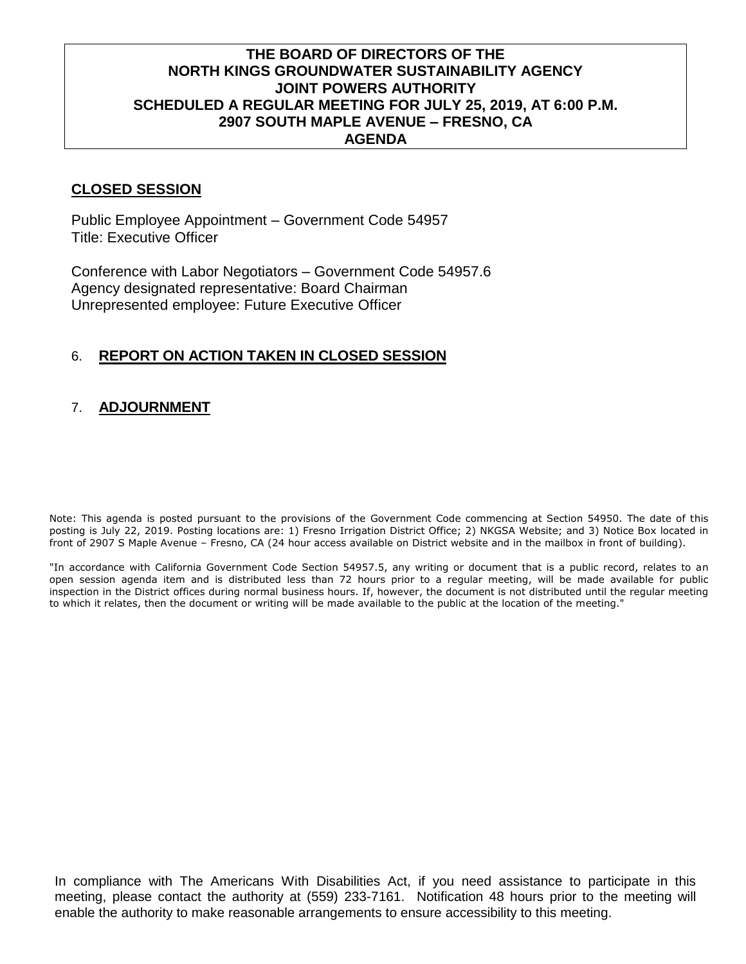# **THE BOARD OF DIRECTORS OF THE NORTH KINGS GROUNDWATER SUSTAINABILITY AGENCY JOINT POWERS AUTHORITY SCHEDULED A REGULAR MEETING FOR JULY 25, 2019, AT 6:00 P.M. 2907 SOUTH MAPLE AVENUE – FRESNO, CA AGENDA**

# **CLOSED SESSION**

Public Employee Appointment – Government Code 54957 Title: Executive Officer

Conference with Labor Negotiators – Government Code 54957.6 Agency designated representative: Board Chairman Unrepresented employee: Future Executive Officer

# 6. **REPORT ON ACTION TAKEN IN CLOSED SESSION**

# 7. **ADJOURNMENT**

Note: This agenda is posted pursuant to the provisions of the Government Code commencing at Section 54950. The date of this posting is July 22, 2019. Posting locations are: 1) Fresno Irrigation District Office; 2) NKGSA Website; and 3) Notice Box located in front of 2907 S Maple Avenue – Fresno, CA (24 hour access available on District website and in the mailbox in front of building).

"In accordance with California Government Code Section 54957.5, any writing or document that is a public record, relates to an open session agenda item and is distributed less than 72 hours prior to a regular meeting, will be made available for public inspection in the District offices during normal business hours. If, however, the document is not distributed until the regular meeting to which it relates, then the document or writing will be made available to the public at the location of the meeting."

In compliance with The Americans With Disabilities Act, if you need assistance to participate in this meeting, please contact the authority at (559) 233-7161. Notification 48 hours prior to the meeting will enable the authority to make reasonable arrangements to ensure accessibility to this meeting.